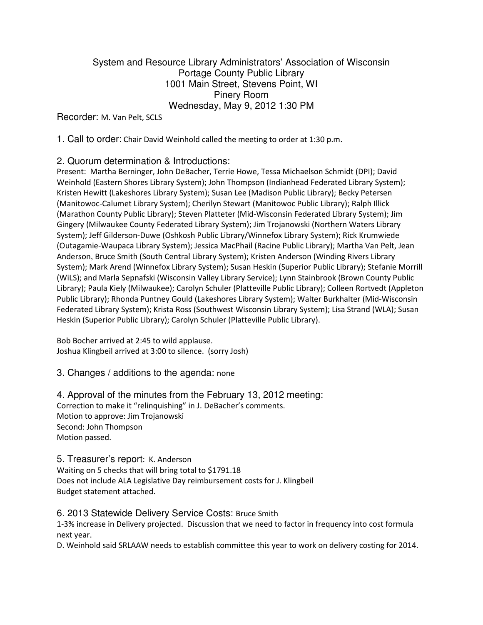## System and Resource Library Administrators' Association of Wisconsin Portage County Public Library 1001 Main Street, Stevens Point, WI Pinery Room Wednesday, May 9, 2012 1:30 PM

Recorder: M. Van Pelt, SCLS

1. Call to order: Chair David Weinhold called the meeting to order at 1:30 p.m.

## 2. Quorum determination & Introductions:

Present: Martha Berninger, John DeBacher, Terrie Howe, Tessa Michaelson Schmidt (DPI); David Weinhold (Eastern Shores Library System); John Thompson (Indianhead Federated Library System); Kristen Hewitt (Lakeshores Library System); Susan Lee (Madison Public Library); Becky Petersen (Manitowoc-Calumet Library System); Cherilyn Stewart (Manitowoc Public Library); Ralph Illick (Marathon County Public Library); Steven Platteter (Mid-Wisconsin Federated Library System); Jim Gingery (Milwaukee County Federated Library System); Jim Trojanowski (Northern Waters Library System); Jeff Gilderson-Duwe (Oshkosh Public Library/Winnefox Library System); Rick Krumwiede (Outagamie-Waupaca Library System); Jessica MacPhail (Racine Public Library); Martha Van Pelt, Jean Anderson, Bruce Smith (South Central Library System); Kristen Anderson (Winding Rivers Library System); Mark Arend (Winnefox Library System); Susan Heskin (Superior Public Library); Stefanie Morrill (WiLS); and Marla Sepnafski (Wisconsin Valley Library Service); Lynn Stainbrook (Brown County Public Library); Paula Kiely (Milwaukee); Carolyn Schuler (Platteville Public Library); Colleen Rortvedt (Appleton Public Library); Rhonda Puntney Gould (Lakeshores Library System); Walter Burkhalter (Mid-Wisconsin Federated Library System); Krista Ross (Southwest Wisconsin Library System); Lisa Strand (WLA); Susan Heskin (Superior Public Library); Carolyn Schuler (Platteville Public Library).

Bob Bocher arrived at 2:45 to wild applause. Joshua Klingbeil arrived at 3:00 to silence. (sorry Josh)

3. Changes / additions to the agenda: none

4. Approval of the minutes from the February 13, 2012 meeting: Correction to make it "relinquishing" in J. DeBacher's comments. Motion to approve: Jim Trojanowski Second: John Thompson Motion passed.

5. Treasurer's report: K. Anderson Waiting on 5 checks that will bring total to \$1791.18 Does not include ALA Legislative Day reimbursement costs for J. Klingbeil Budget statement attached.

#### 6. 2013 Statewide Delivery Service Costs: Bruce Smith

1-3% increase in Delivery projected. Discussion that we need to factor in frequency into cost formula next year.

D. Weinhold said SRLAAW needs to establish committee this year to work on delivery costing for 2014.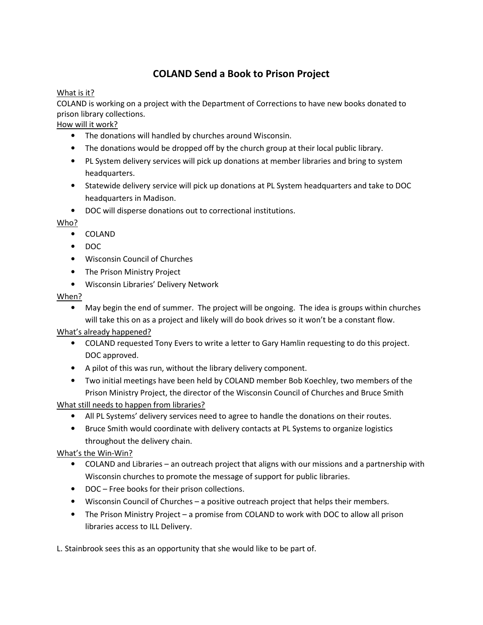# COLAND Send a Book to Prison Project

#### What is it?

COLAND is working on a project with the Department of Corrections to have new books donated to prison library collections.

How will it work?

- The donations will handled by churches around Wisconsin.
- The donations would be dropped off by the church group at their local public library.
- PL System delivery services will pick up donations at member libraries and bring to system headquarters.
- Statewide delivery service will pick up donations at PL System headquarters and take to DOC headquarters in Madison.
- DOC will disperse donations out to correctional institutions.

#### Who?

- COLAND
- DOC
- Wisconsin Council of Churches
- The Prison Ministry Project
- Wisconsin Libraries' Delivery Network

#### When?

• May begin the end of summer. The project will be ongoing. The idea is groups within churches will take this on as a project and likely will do book drives so it won't be a constant flow.

#### What's already happened?

- COLAND requested Tony Evers to write a letter to Gary Hamlin requesting to do this project. DOC approved.
- A pilot of this was run, without the library delivery component.
- Two initial meetings have been held by COLAND member Bob Koechley, two members of the Prison Ministry Project, the director of the Wisconsin Council of Churches and Bruce Smith

What still needs to happen from libraries?

- All PL Systems' delivery services need to agree to handle the donations on their routes.
- Bruce Smith would coordinate with delivery contacts at PL Systems to organize logistics throughout the delivery chain.

#### What's the Win-Win?

- COLAND and Libraries an outreach project that aligns with our missions and a partnership with Wisconsin churches to promote the message of support for public libraries.
- DOC Free books for their prison collections.
- Wisconsin Council of Churches a positive outreach project that helps their members.
- The Prison Ministry Project a promise from COLAND to work with DOC to allow all prison libraries access to ILL Delivery.

L. Stainbrook sees this as an opportunity that she would like to be part of.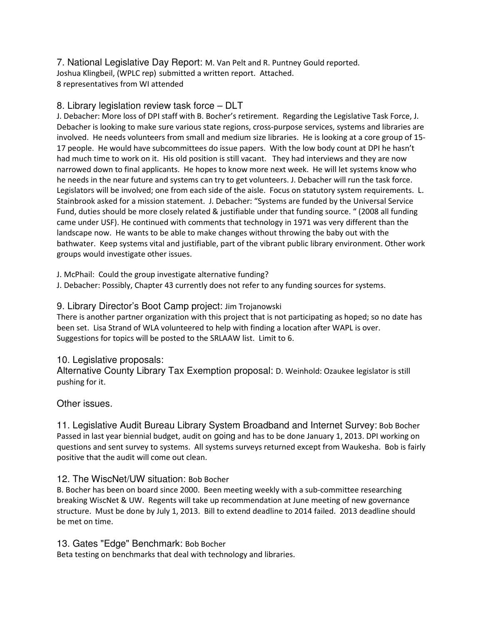7. National Legislative Day Report: M. Van Pelt and R. Puntney Gould reported. Joshua Klingbeil, (WPLC rep) submitted a written report. [Attached.](http://www.srlaaw.org/documents/LegislativeDayReport5-9-12.pdf) 8 representatives from WI attended

#### 8. Library legislation review task force – DLT

J. Debacher: More loss of DPI staff with B. Bocher's retirement. Regarding the Legislative Task Force, J. Debacher is looking to make sure various state regions, cross-purpose services, systems and libraries are involved. He needs volunteers from small and medium size libraries. He is looking at a core group of 15- 17 people. He would have subcommittees do issue papers. With the low body count at DPI he hasn't had much time to work on it. His old position is still vacant. They had interviews and they are now narrowed down to final applicants. He hopes to know more next week. He will let systems know who he needs in the near future and systems can try to get volunteers. J. Debacher will run the task force. Legislators will be involved; one from each side of the aisle. Focus on statutory system requirements. L. Stainbrook asked for a mission statement. J. Debacher: "Systems are funded by the Universal Service Fund, duties should be more closely related & justifiable under that funding source. " (2008 all funding came under USF). He continued with comments that technology in 1971 was very different than the landscape now. He wants to be able to make changes without throwing the baby out with the bathwater. Keep systems vital and justifiable, part of the vibrant public library environment. Other work groups would investigate other issues.

J. McPhail: Could the group investigate alternative funding?

J. Debacher: Possibly, Chapter 43 currently does not refer to any funding sources for systems.

#### 9. Library Director's Boot Camp project: Jim Trojanowski

There is another partner organization with this project that is not participating as hoped; so no date has been set. Lisa Strand of WLA volunteered to help with finding a location after WAPL is over. Suggestions for topics will be posted to the SRLAAW list. Limit to 6.

#### 10. Legislative proposals:

Alternative County Library Tax Exemption proposal: D. Weinhold: Ozaukee legislator is still pushing for it.

#### Other issues.

11. Legislative Audit Bureau Library System Broadband and Internet Survey: Bob Bocher Passed in last year biennial budget, audit on going and has to be done January 1, 2013. DPI working on questions and sent survey to systems. All systems surveys returned except from Waukesha. Bob is fairly positive that the audit will come out clean.

#### 12. The WiscNet/UW situation: Bob Bocher

B. Bocher has been on board since 2000. Been meeting weekly with a sub-committee researching breaking WiscNet & UW. Regents will take up recommendation at June meeting of new governance structure. Must be done by July 1, 2013. Bill to extend deadline to 2014 failed. 2013 deadline should be met on time.

13. Gates "Edge" Benchmark: Bob Bocher

Beta testing on benchmarks that deal with technology and libraries.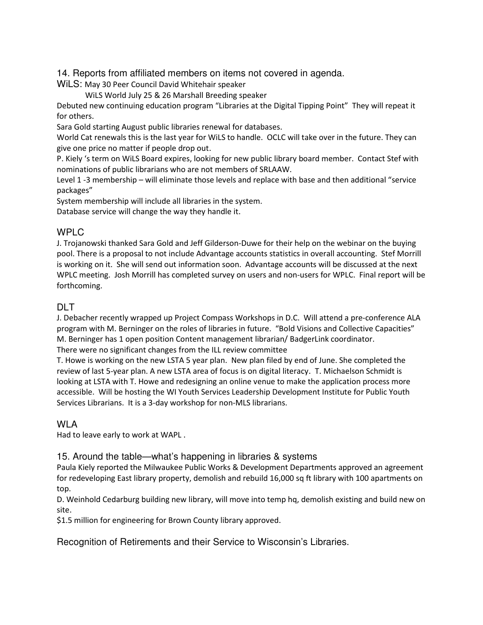14. Reports from affiliated members on items not covered in agenda.

WiLS: May 30 Peer Council David Whitehair speaker

WiLS World July 25 & 26 Marshall Breeding speaker

Debuted new continuing education program "Libraries at the Digital Tipping Point" They will repeat it for others.

Sara Gold starting August public libraries renewal for databases.

World Cat renewals this is the last year for WiLS to handle. OCLC will take over in the future. They can give one price no matter if people drop out.

P. Kiely 's term on WiLS Board expires, looking for new public library board member. Contact Stef with nominations of public librarians who are not members of SRLAAW.

Level 1 -3 membership – will eliminate those levels and replace with base and then additional "service packages"

System membership will include all libraries in the system.

Database service will change the way they handle it.

## WPLC

J. Trojanowski thanked Sara Gold and Jeff Gilderson-Duwe for their help on the webinar on the buying pool. There is a proposal to not include Advantage accounts statistics in overall accounting. Stef Morrill is working on it. She will send out information soon. Advantage accounts will be discussed at the next WPLC meeting. Josh Morrill has completed survey on users and non-users for WPLC. Final report will be forthcoming.

# DLT.

J. Debacher recently wrapped up Project Compass Workshops in D.C. Will attend a pre-conference ALA program with M. Berninger on the roles of libraries in future. "Bold Visions and Collective Capacities" M. Berninger has 1 open position Content management librarian/ BadgerLink coordinator. There were no significant changes from the ILL review committee

T. Howe is working on the new LSTA 5 year plan. New plan filed by end of June. She completed the review of last 5-year plan. A new LSTA area of focus is on digital literacy. T. Michaelson Schmidt is looking at LSTA with T. Howe and redesigning an online venue to make the application process more accessible. Will be hosting the WI Youth Services Leadership Development Institute for Public Youth Services Librarians. It is a 3-day workshop for non-MLS librarians.

#### WLA

Had to leave early to work at WAPL .

#### 15. Around the table—what's happening in libraries & systems

Paula Kiely reported the Milwaukee Public Works & Development Departments approved an agreement for redeveloping East library property, demolish and rebuild 16,000 sq ft library with 100 apartments on top.

D. Weinhold Cedarburg building new library, will move into temp hq, demolish existing and build new on site.

\$1.5 million for engineering for Brown County library approved.

Recognition of Retirements and their Service to Wisconsin's Libraries.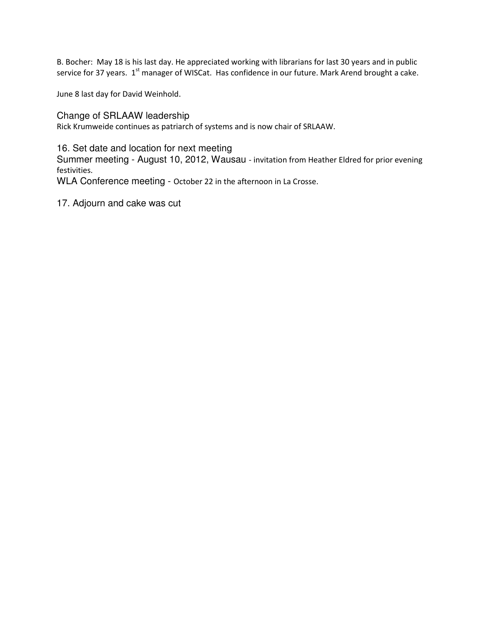B. Bocher: May 18 is his last day. He appreciated working with librarians for last 30 years and in public service for 37 years. 1<sup>st</sup> manager of WISCat. Has confidence in our future. Mark Arend brought a cake.

June 8 last day for David Weinhold.

Change of SRLAAW leadership Rick Krumweide continues as patriarch of systems and is now chair of SRLAAW.

16. Set date and location for next meeting

Summer meeting - August 10, 2012, Wausau - invitation from Heather Eldred for prior evening festivities.

WLA Conference meeting - October 22 in the afternoon in La Crosse.

17. Adjourn and cake was cut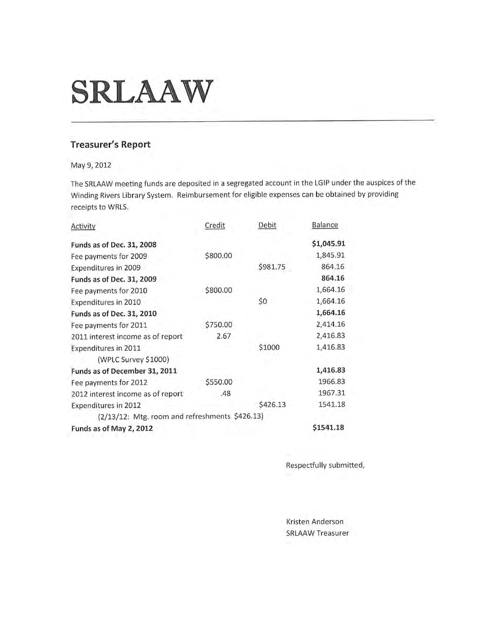# **SRLAAW**

# **Treasurer's Report**

May 9, 2012

The SRLAAW meeting funds are deposited in a segregated account in the LGIP under the auspices of the Winding Rivers Library System. Reimbursement for eligible expenses can be obtained by providing receipts to WRLS.

| Activity                                       | Credit   | Debit    | <b>Balance</b> |
|------------------------------------------------|----------|----------|----------------|
| Funds as of Dec. 31, 2008                      |          |          | \$1,045.91     |
| Fee payments for 2009                          | \$800.00 |          | 1,845.91       |
| Expenditures in 2009                           |          | \$981.75 | 864.16         |
| Funds as of Dec. 31, 2009                      |          |          | 864.16         |
| Fee payments for 2010                          | \$800.00 |          | 1,664.16       |
| Expenditures in 2010                           |          | \$0      | 1,664.16       |
| Funds as of Dec. 31, 2010                      |          |          | 1,664.16       |
| Fee payments for 2011                          | \$750.00 |          | 2,414.16       |
| 2011 interest income as of report              | 2.67     |          | 2,416.83       |
| Expenditures in 2011                           |          | \$1000   | 1,416.83       |
| (WPLC Survey \$1000)                           |          |          |                |
| Funds as of December 31, 2011                  |          |          | 1,416.83       |
| Fee payments for 2012                          | \$550.00 |          | 1966.83        |
| 2012 interest income as of report              | .48      |          | 1967.31        |
| <b>Expenditures in 2012</b>                    |          | \$426.13 | 1541.18        |
| (2/13/12: Mtg. room and refreshments \$426.13) |          |          |                |
| Funds as of May 2, 2012                        |          |          | \$1541.18      |

Respectfully submitted,

Kristen Anderson **SRLAAW Treasurer**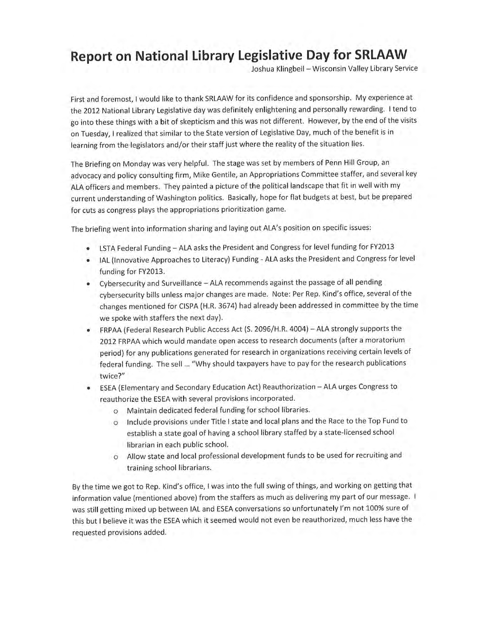# **Report on National Library Legislative Day for SRLAAW**

Joshua Klingbeil - Wisconsin Valley Library Service

First and foremost, I would like to thank SRLAAW for its confidence and sponsorship. My experience at the 2012 National Library Legislative day was definitely enlightening and personally rewarding. I tend to go into these things with a bit of skepticism and this was not different. However, by the end of the visits on Tuesday, I realized that similar to the State version of Legislative Day, much of the benefit is in learning from the legislators and/or their staff just where the reality of the situation lies.

The Briefing on Monday was very helpful. The stage was set by members of Penn Hill Group, an advocacy and policy consulting firm, Mike Gentile, an Appropriations Committee staffer, and several key ALA officers and members. They painted a picture of the political landscape that fit in well with my current understanding of Washington politics. Basically, hope for flat budgets at best, but be prepared for cuts as congress plays the appropriations prioritization game.

The briefing went into information sharing and laying out ALA's position on specific issues:

- LSTA Federal Funding ALA asks the President and Congress for level funding for FY2013
- IAL (Innovative Approaches to Literacy) Funding ALA asks the President and Congress for level funding for FY2013.
- Cybersecurity and Surveillance ALA recommends against the passage of all pending cybersecurity bills unless major changes are made. Note: Per Rep. Kind's office, several of the changes mentioned for CISPA (H.R. 3674) had already been addressed in committee by the time we spoke with staffers the next day).
- FRPAA (Federal Research Public Access Act (S. 2096/H.R. 4004) ALA strongly supports the 2012 FRPAA which would mandate open access to research documents (after a moratorium period) for any publications generated for research in organizations receiving certain levels of federal funding. The sell ... "Why should taxpayers have to pay for the research publications twice?"
- ESEA (Elementary and Secondary Education Act) Reauthorization ALA urges Congress to reauthorize the ESEA with several provisions incorporated.
	- o Maintain dedicated federal funding for school libraries.
	- o Include provisions under Title I state and local plans and the Race to the Top Fund to establish a state goal of having a school library staffed by a state-licensed school librarian in each public school.
	- o Allow state and local professional development funds to be used for recruiting and training school librarians.

By the time we got to Rep. Kind's office, I was into the full swing of things, and working on getting that information value (mentioned above) from the staffers as much as delivering my part of our message. I was still getting mixed up between IAL and ESEA conversations so unfortunately I'm not 100% sure of this but I believe it was the ESEA which it seemed would not even be reauthorized, much less have the requested provisions added.